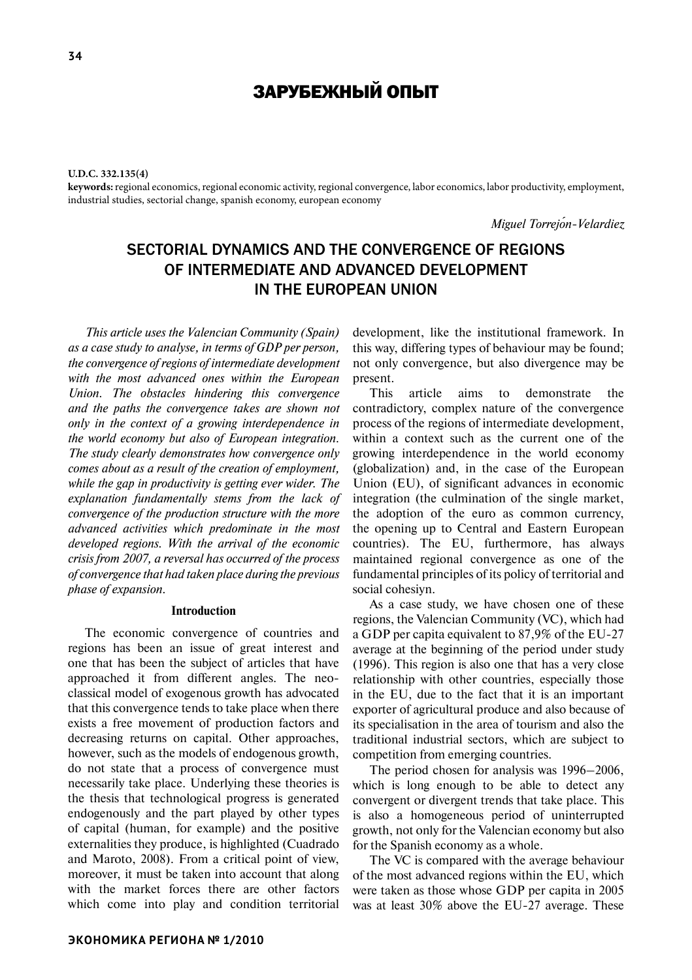**U.D.C. 332.135(4)**

**keywords:** regional economics, regional economic activity, regional convergence, labor economics, labor productivity, employment, industrial studies, sectorial change, spanish economy, european economy

*Miguel Torrejo˜n-Velardiez*

# Sectorial dynamics and the convergence of regions of intermediate and advanced development in the European Union

*This article uses the Valencian Community (Spain) as a case study to analyse, in terms of GDP per person, the convergence of regions of intermediate development with the most advanced ones within the European Union. The obstacles hindering this convergence and the paths the convergence takes are shown not only in the context of a growing interdependence in the world economy but also of European integration. The study clearly demonstrates how convergence only comes about as a result of the creation of employment, while the gap in productivity is getting ever wider. The explanation fundamentally stems from the lack of convergence of the production structure with the more advanced activities which predominate in the most developed regions. With the arrival of the economic crisis from 2007, a reversal has occurred of the process of convergence that had taken place during the previous phase of expansion.*

## **Introduction**

The economic convergence of countries and regions has been an issue of great interest and one that has been the subject of articles that have approached it from different angles. The neoclassical model of exogenous growth has advocated that this convergence tends to take place when there exists a free movement of production factors and decreasing returns on capital. Other approaches, however, such as the models of endogenous growth, do not state that a process of convergence must necessarily take place. Underlying these theories is the thesis that technological progress is generated endogenously and the part played by other types of capital (human, for example) and the positive externalities they produce, is highlighted (Cuadrado and Maroto, 2008). From a critical point of view, moreover, it must be taken into account that along with the market forces there are other factors which come into play and condition territorial development, like the institutional framework. In this way, differing types of behaviour may be found; not only convergence, but also divergence may be present.

This article aims to demonstrate the contradictory, complex nature of the convergence process of the regions of intermediate development, within a context such as the current one of the growing interdependence in the world economy (globalization) and, in the case of the European Union (EU), of significant advances in economic integration (the culmination of the single market, the adoption of the euro as common currency, the opening up to Central and Eastern European countries). The EU, furthermore, has always maintained regional convergence as one of the fundamental principles of its policy of territorial and social cohesiyn.

As a case study, we have chosen one of these regions, the Valencian Community (VC), which had a GDP per capita equivalent to 87,9% of the EU-27 average at the beginning of the period under study (1996). This region is also one that has a very close relationship with other countries, especially those in the EU, due to the fact that it is an important exporter of agricultural produce and also because of its specialisation in the area of tourism and also the traditional industrial sectors, which are subject to competition from emerging countries.

The period chosen for analysis was 1996–2006, which is long enough to be able to detect any convergent or divergent trends that take place. This is also a homogeneous period of uninterrupted growth, not only for the Valencian economy but also for the Spanish economy as a whole.

The VC is compared with the average behaviour of the most advanced regions within the EU, which were taken as those whose GDP per capita in 2005 was at least 30% above the EU-27 average. These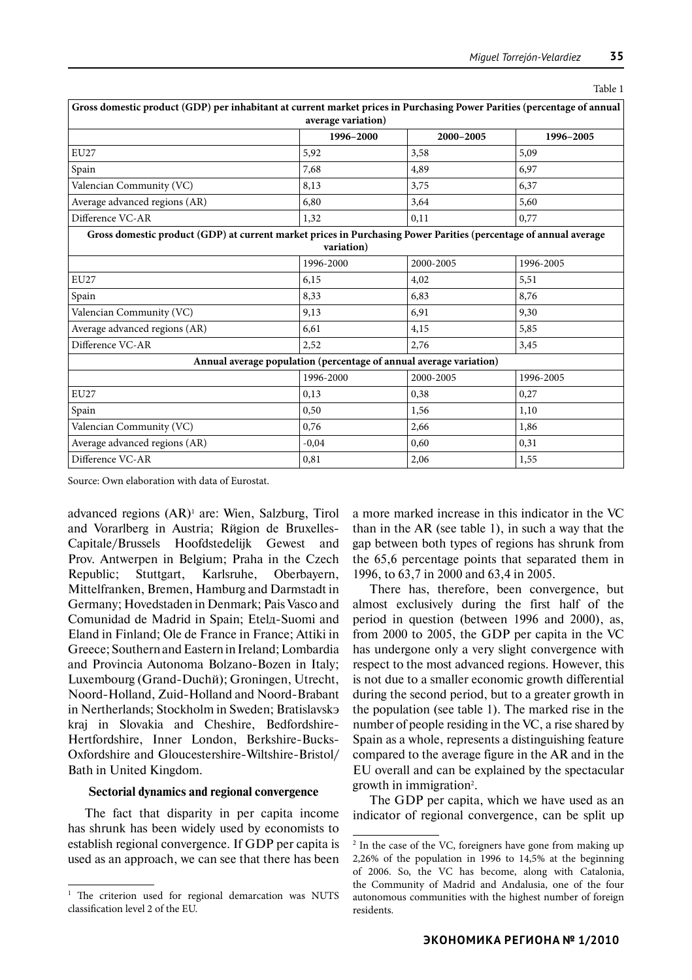| Gross domestic product (GDP) per inhabitant at current market prices in Purchasing Power Parities (percentage of annual |            |           |           |  |  |  |  |
|-------------------------------------------------------------------------------------------------------------------------|------------|-----------|-----------|--|--|--|--|
| average variation)                                                                                                      |            |           |           |  |  |  |  |
|                                                                                                                         | 1996-2000  | 2000-2005 | 1996-2005 |  |  |  |  |
| <b>EU27</b>                                                                                                             | 5,92       | 3,58      | 5,09      |  |  |  |  |
| Spain                                                                                                                   | 7,68       | 4,89      | 6,97      |  |  |  |  |
| Valencian Community (VC)                                                                                                | 8,13       | 3,75      | 6,37      |  |  |  |  |
| Average advanced regions (AR)                                                                                           | 6,80       | 3,64      | 5,60      |  |  |  |  |
| Difference VC-AR                                                                                                        | 1,32       | 0,11      | 0,77      |  |  |  |  |
| Gross domestic product (GDP) at current market prices in Purchasing Power Parities (percentage of annual average        |            |           |           |  |  |  |  |
|                                                                                                                         | variation) |           |           |  |  |  |  |
|                                                                                                                         | 1996-2000  | 2000-2005 | 1996-2005 |  |  |  |  |
| <b>EU27</b>                                                                                                             | 6,15       | 4.02      | 5,51      |  |  |  |  |
| Spain                                                                                                                   | 8,33       | 6,83      | 8,76      |  |  |  |  |
| Valencian Community (VC)                                                                                                | 9,13       | 6,91      | 9,30      |  |  |  |  |
| Average advanced regions (AR)                                                                                           | 6,61       | 4,15      | 5,85      |  |  |  |  |
| Difference VC-AR                                                                                                        | 2,52       | 2,76      | 3,45      |  |  |  |  |
| Annual average population (percentage of annual average variation)                                                      |            |           |           |  |  |  |  |
|                                                                                                                         | 1996-2000  | 2000-2005 | 1996-2005 |  |  |  |  |
| ${\rm EU27}$                                                                                                            | 0,13       | 0,38      | 0,27      |  |  |  |  |
| Spain                                                                                                                   | 0,50       | 1,56      | 1,10      |  |  |  |  |
| Valencian Community (VC)                                                                                                | 0,76       | 2,66      | 1,86      |  |  |  |  |
| Average advanced regions (AR)                                                                                           | $-0,04$    | 0,60      | 0,31      |  |  |  |  |
| Difference VC-AR                                                                                                        | 0,81       | 2,06      | 1,55      |  |  |  |  |

Table 1

Source: Own elaboration with data of Eurostat.

advanced regions (AR)<sup>1</sup> are: Wien, Salzburg, Tirol and Vorarlberg in Austria; Rŭgion de Bruxelles-Capitale/Brussels Hoofdstedelijk Gewest and Prov. Antwerpen in Belgium; Praha in the Czech Republic; Stuttgart, Karlsruhe, Oberbayern, Mittelfranken, Bremen, Hamburg and Darmstadt in Germany; Hovedstaden in Denmark; Pais Vasco and Comunidad de Madrid in Spain; Etela-Suomi and Eland in Finland; Ole de France in France; Attiki in Greece; Southern and Eastern in Ireland; Lombardia and Provincia Autonoma Bolzano-Bozen in Italy; Luxembourg (Grand-Duchй); Groningen, Utrecht, Noord-Holland, Zuid-Holland and Noord-Brabant in Nertherlands: Stockholm in Sweden; Bratislavske kraj in Slovakia and Cheshire, Bedfordshire-Hertfordshire, Inner London, Berkshire-Bucks-Oxfordshire and Gloucestershire-Wiltshire-Bristol/ Bath in United Kingdom.

#### **Sectorial dynamics and regional convergence**

The fact that disparity in per capita income has shrunk has been widely used by economists to establish regional convergence. If GDP per capita is used as an approach, we can see that there has been

a more marked increase in this indicator in the VC than in the AR (see table 1), in such a way that the gap between both types of regions has shrunk from the 65,6 percentage points that separated them in 1996, to 63,7 in 2000 and 63,4 in 2005.

There has, therefore, been convergence, but almost exclusively during the first half of the period in question (between 1996 and 2000), as, from 2000 to 2005, the GDP per capita in the VC has undergone only a very slight convergence with respect to the most advanced regions. However, this is not due to a smaller economic growth differential during the second period, but to a greater growth in the population (see table 1). The marked rise in the number of people residing in the VC, a rise shared by Spain as a whole, represents a distinguishing feature compared to the average figure in the AR and in the EU overall and can be explained by the spectacular growth in immigration<sup>2</sup>.

The GDP per capita, which we have used as an indicator of regional convergence, can be split up

<sup>&</sup>lt;sup>1</sup> The criterion used for regional demarcation was NUTS classification level 2 of the EU.

<sup>&</sup>lt;sup>2</sup> In the case of the VC, foreigners have gone from making up 2,26% of the population in 1996 to 14,5% at the beginning of 2006. So, the VC has become, along with Catalonia, the Community of Madrid and Andalusia, one of the four autonomous communities with the highest number of foreign residents.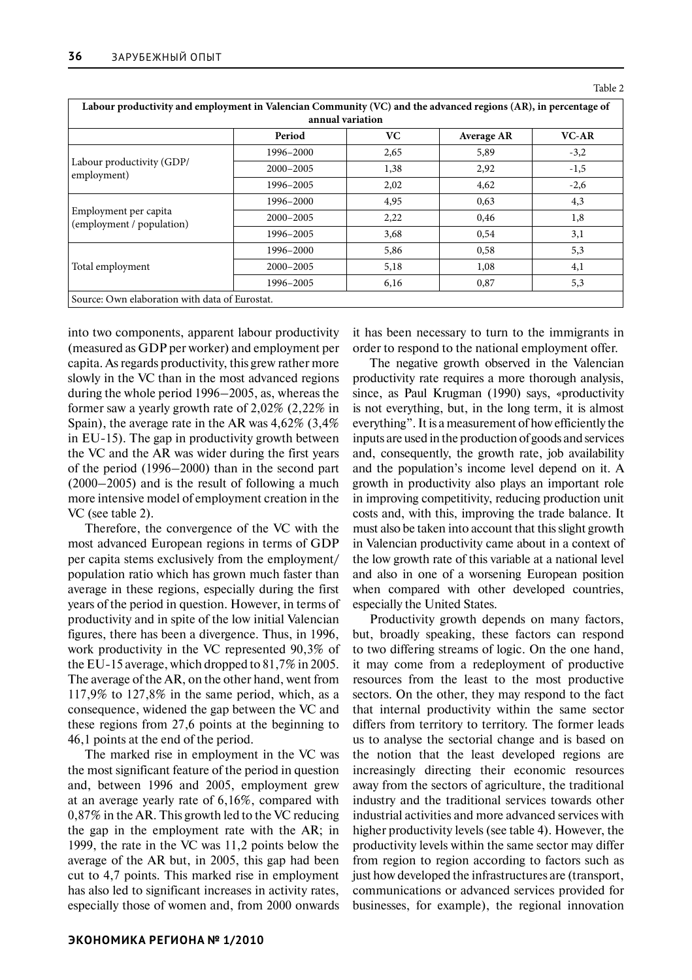| Labour productivity and employment in Valencian Community (VC) and the advanced regions (AR), in percentage of<br>annual variation |               |      |                   |        |  |  |  |
|------------------------------------------------------------------------------------------------------------------------------------|---------------|------|-------------------|--------|--|--|--|
|                                                                                                                                    | Period        | VC.  | <b>Average AR</b> | VC-AR  |  |  |  |
| Labour productivity (GDP/<br>employment)                                                                                           | 1996-2000     | 2,65 | 5,89              | $-3,2$ |  |  |  |
|                                                                                                                                    | 2000-2005     | 1,38 | 2,92              | $-1,5$ |  |  |  |
|                                                                                                                                    | 1996-2005     | 2,02 | 4,62              | $-2,6$ |  |  |  |
| Employment per capita<br>(employment / population)                                                                                 | 1996-2000     | 4,95 | 0,63              | 4,3    |  |  |  |
|                                                                                                                                    | $2000 - 2005$ | 2,22 | 0,46              | 1,8    |  |  |  |
|                                                                                                                                    | 1996-2005     | 3,68 | 0,54              | 3,1    |  |  |  |
| Total employment                                                                                                                   | 1996-2000     | 5,86 | 0,58              | 5,3    |  |  |  |
|                                                                                                                                    | 2000-2005     | 5,18 | 1,08              | 4,1    |  |  |  |
|                                                                                                                                    | 1996-2005     | 6,16 | 0,87              | 5,3    |  |  |  |
| Source: Own elaboration with data of Eurostat.                                                                                     |               |      |                   |        |  |  |  |

into two components, apparent labour productivity (measured as GDP per worker) and employment per capita. As regards productivity, this grew rather more slowly in the VC than in the most advanced regions during the whole period 1996–2005, as, whereas the former saw a yearly growth rate of 2,02% (2,22% in Spain), the average rate in the AR was 4,62% (3,4% in EU-15). The gap in productivity growth between the VC and the AR was wider during the first years of the period (1996–2000) than in the second part (2000–2005) and is the result of following a much more intensive model of employment creation in the VC (see table 2).

Therefore, the convergence of the VC with the most advanced European regions in terms of GDP per capita stems exclusively from the employment/ population ratio which has grown much faster than average in these regions, especially during the first years of the period in question. However, in terms of productivity and in spite of the low initial Valencian figures, there has been a divergence. Thus, in 1996, work productivity in the VC represented 90,3% of the EU-15 average, which dropped to 81,7% in 2005. The average of the AR, on the other hand, went from 117,9% to 127,8% in the same period, which, as a consequence, widened the gap between the VC and these regions from 27,6 points at the beginning to 46,1 points at the end of the period.

The marked rise in employment in the VC was the most significant feature of the period in question and, between 1996 and 2005, employment grew at an average yearly rate of 6,16%, compared with 0,87% in the AR. This growth led to the VC reducing the gap in the employment rate with the AR; in 1999, the rate in the VC was 11,2 points below the average of the AR but, in 2005, this gap had been cut to 4,7 points. This marked rise in employment has also led to significant increases in activity rates, especially those of women and, from 2000 onwards it has been necessary to turn to the immigrants in order to respond to the national employment offer.

Table 2

The negative growth observed in the Valencian productivity rate requires a more thorough analysis, since, as Paul Krugman (1990) says, «productivity is not everything, but, in the long term, it is almost everything". It is a measurement of how efficiently the inputs are used in the production of goods and services and, consequently, the growth rate, job availability and the population's income level depend on it. A growth in productivity also plays an important role in improving competitivity, reducing production unit costs and, with this, improving the trade balance. It must also be taken into account that this slight growth in Valencian productivity came about in a context of the low growth rate of this variable at a national level and also in one of a worsening European position when compared with other developed countries, especially the United States.

Productivity growth depends on many factors, but, broadly speaking, these factors can respond to two differing streams of logic. On the one hand, it may come from a redeployment of productive resources from the least to the most productive sectors. On the other, they may respond to the fact that internal productivity within the same sector differs from territory to territory. The former leads us to analyse the sectorial change and is based on the notion that the least developed regions are increasingly directing their economic resources away from the sectors of agriculture, the traditional industry and the traditional services towards other industrial activities and more advanced services with higher productivity levels (see table 4). However, the productivity levels within the same sector may differ from region to region according to factors such as just how developed the infrastructures are (transport, communications or advanced services provided for businesses, for example), the regional innovation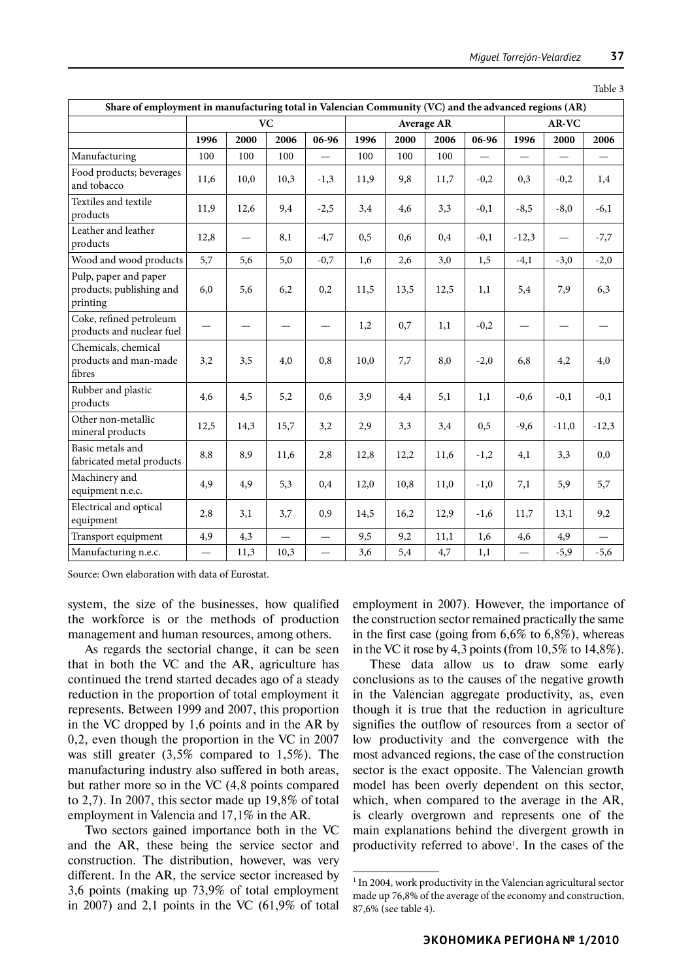| Share of employment in manufacturing total in Valencian Community (VC) and the advanced regions (AR) |                          |      |          |                          |      |      |       |          |                   |                          |          |
|------------------------------------------------------------------------------------------------------|--------------------------|------|----------|--------------------------|------|------|-------|----------|-------------------|--------------------------|----------|
|                                                                                                      | <b>VC</b>                |      |          | <b>Average AR</b>        |      |      | AR-VC |          |                   |                          |          |
|                                                                                                      | 1996                     | 2000 | 2006     | $06-96$                  | 1996 | 2000 | 2006  | 06-96    | 1996              | 2000                     | 2006     |
| Manufacturing                                                                                        | 100                      | 100  | 100      | $\equiv$                 | 100  | 100  | 100   | $\equiv$ | $\qquad \qquad -$ | $\overline{\phantom{0}}$ |          |
| Food products; beverages<br>and tobacco                                                              | 11,6                     | 10,0 | 10,3     | $-1,3$                   | 11,9 | 9,8  | 11,7  | $-0,2$   | 0,3               | $-0,2$                   | 1,4      |
| Textiles and textile<br>products                                                                     | 11,9                     | 12,6 | 9,4      | $-2,5$                   | 3,4  | 4,6  | 3,3   | $-0,1$   | $-8,5$            | $-8,0$                   | $-6,1$   |
| Leather and leather<br>products                                                                      | 12,8                     |      | 8,1      | $-4,7$                   | 0,5  | 0,6  | 0,4   | $-0,1$   | $-12,3$           | $\overline{\phantom{0}}$ | $-7,7$   |
| Wood and wood products                                                                               | 5,7                      | 5,6  | 5,0      | $-0,7$                   | 1,6  | 2,6  | 3,0   | 1,5      | $-4,1$            | $-3,0$                   | $-2,0$   |
| Pulp, paper and paper<br>products; publishing and<br>printing                                        | 6,0                      | 5,6  | 6,2      | 0,2                      | 11,5 | 13,5 | 12,5  | 1,1      | 5,4               | 7,9                      | 6,3      |
| Coke, refined petroleum<br>products and nuclear fuel                                                 |                          |      |          |                          | 1,2  | 0,7  | 1,1   | $-0,2$   |                   |                          |          |
| Chemicals, chemical<br>products and man-made<br>fibres                                               | 3,2                      | 3,5  | 4,0      | 0,8                      | 10,0 | 7,7  | 8,0   | $-2,0$   | 6,8               | 4,2                      | 4,0      |
| Rubber and plastic<br>products                                                                       | 4,6                      | 4,5  | 5,2      | 0,6                      | 3,9  | 4,4  | 5,1   | 1.1      | $-0,6$            | $-0,1$                   | $-0,1$   |
| Other non-metallic<br>mineral products                                                               | 12,5                     | 14,3 | 15,7     | 3,2                      | 2,9  | 3,3  | 3,4   | 0,5      | $-9,6$            | $-11,0$                  | $-12,3$  |
| Basic metals and<br>fabricated metal products                                                        | 8,8                      | 8,9  | 11,6     | 2,8                      | 12,8 | 12,2 | 11,6  | $-1,2$   | 4,1               | 3,3                      | 0,0      |
| Machinery and<br>equipment n.e.c.                                                                    | 4,9                      | 4,9  | 5,3      | 0,4                      | 12,0 | 10,8 | 11.0  | $-1,0$   | 7,1               | 5,9                      | 5,7      |
| Electrical and optical<br>equipment                                                                  | 2,8                      | 3,1  | 3,7      | 0,9                      | 14,5 | 16,2 | 12,9  | $-1,6$   | 11,7              | 13,1                     | 9,2      |
| Transport equipment                                                                                  | 4,9                      | 4,3  | $\equiv$ | $\overline{\phantom{0}}$ | 9,5  | 9,2  | 11,1  | 1,6      | 4,6               | 4,9                      | $\equiv$ |
| Manufacturing n.e.c.                                                                                 | $\overline{\phantom{0}}$ | 11,3 | 10,3     | $\equiv$                 | 3,6  | 5,4  | 4,7   | 1,1      | $\qquad \qquad$   | $-5,9$                   | $-5,6$   |

Table 3

Source: Own elaboration with data of Eurostat.

system, the size of the businesses, how qualified the workforce is or the methods of production management and human resources, among others.

As regards the sectorial change, it can be seen that in both the VC and the AR, agriculture has continued the trend started decades ago of a steady reduction in the proportion of total employment it represents. Between 1999 and 2007, this proportion in the VC dropped by 1,6 points and in the AR by 0,2, even though the proportion in the VC in 2007 was still greater (3,5% compared to 1,5%). The manufacturing industry also suffered in both areas, but rather more so in the VC (4,8 points compared to 2,7). In 2007, this sector made up 19,8% of total employment in Valencia and 17,1% in the AR.

Two sectors gained importance both in the VC and the AR, these being the service sector and construction. The distribution, however, was very different. In the AR, the service sector increased by 3,6 points (making up 73,9% of total employment in 2007) and 2,1 points in the VC  $(61,9%$  of total employment in 2007). However, the importance of the construction sector remained practically the same in the first case (going from  $6,6\%$  to  $6,8\%$ ), whereas in the VC it rose by 4,3 points (from  $10,5\%$  to  $14,8\%$ ).

These data allow us to draw some early conclusions as to the causes of the negative growth in the Valencian aggregate productivity, as, even though it is true that the reduction in agriculture signifies the outflow of resources from a sector of low productivity and the convergence with the most advanced regions, the case of the construction sector is the exact opposite. The Valencian growth model has been overly dependent on this sector, which, when compared to the average in the AR, is clearly overgrown and represents one of the main explanations behind the divergent growth in productivity referred to above<sup>1</sup> . In the cases of the

<sup>1</sup> In 2004, work productivity in the Valencian agricultural sector made up 76,8% of the average of the economy and construction, 87,6% (see table 4).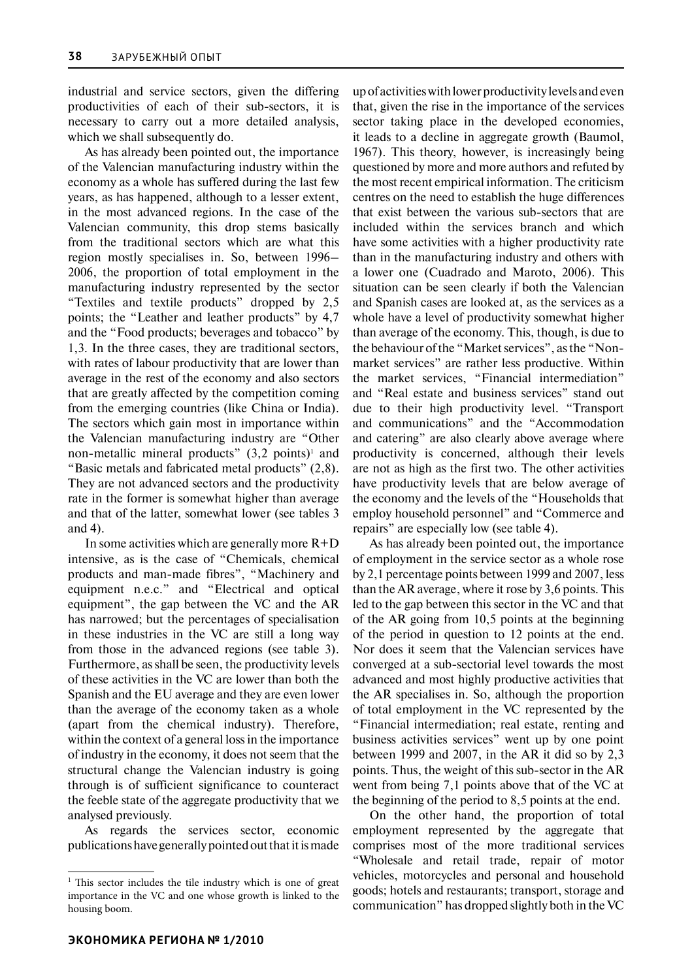industrial and service sectors, given the differing productivities of each of their sub-sectors, it is necessary to carry out a more detailed analysis, which we shall subsequently do.

As has already been pointed out, the importance of the Valencian manufacturing industry within the economy as a whole has suffered during the last few years, as has happened, although to a lesser extent, in the most advanced regions. In the case of the Valencian community, this drop stems basically from the traditional sectors which are what this region mostly specialises in. So, between 1996– 2006, the proportion of total employment in the manufacturing industry represented by the sector "Textiles and textile products" dropped by 2,5 points; the "Leather and leather products" by 4,7 and the "Food products; beverages and tobacco" by 1,3. In the three cases, they are traditional sectors, with rates of labour productivity that are lower than average in the rest of the economy and also sectors that are greatly affected by the competition coming from the emerging countries (like China or India). The sectors which gain most in importance within the Valencian manufacturing industry are "Other non-metallic mineral products"  $(3,2 \text{ points})^1$  and "Basic metals and fabricated metal products" (2,8). They are not advanced sectors and the productivity rate in the former is somewhat higher than average and that of the latter, somewhat lower (see tables 3 and 4).

In some activities which are generally more  $R+D$ intensive, as is the case of "Chemicals, chemical products and man-made fibres", "Machinery and equipment n.e.c." and "Electrical and optical equipment", the gap between the VC and the AR has narrowed; but the percentages of specialisation in these industries in the VC are still a long way from those in the advanced regions (see table 3). Furthermore, as shall be seen, the productivity levels of these activities in the VC are lower than both the Spanish and the EU average and they are even lower than the average of the economy taken as a whole (apart from the chemical industry). Therefore, within the context of a general loss in the importance of industry in the economy, it does not seem that the structural change the Valencian industry is going through is of sufficient significance to counteract the feeble state of the aggregate productivity that we analysed previously.

As regards the services sector, economic publications have generally pointed out that it is made

up of activities with lower productivity levels and even that, given the rise in the importance of the services sector taking place in the developed economies, it leads to a decline in aggregate growth (Baumol, 1967). This theory, however, is increasingly being questioned by more and more authors and refuted by the most recent empirical information. The criticism centres on the need to establish the huge differences that exist between the various sub-sectors that are included within the services branch and which have some activities with a higher productivity rate than in the manufacturing industry and others with a lower one (Cuadrado and Maroto, 2006). This situation can be seen clearly if both the Valencian and Spanish cases are looked at, as the services as a whole have a level of productivity somewhat higher than average of the economy. This, though, is due to the behaviour of the "Market services", as the "Nonmarket services" are rather less productive. Within the market services, "Financial intermediation" and "Real estate and business services" stand out due to their high productivity level. "Transport and communications" and the "Accommodation and catering" are also clearly above average where productivity is concerned, although their levels are not as high as the first two. The other activities have productivity levels that are below average of the economy and the levels of the "Households that employ household personnel" and "Commerce and repairs" are especially low (see table 4).

As has already been pointed out, the importance of employment in the service sector as a whole rose by 2,1 percentage points between 1999 and 2007, less than the AR average, where it rose by 3,6 points. This led to the gap between this sector in the VC and that of the AR going from 10,5 points at the beginning of the period in question to 12 points at the end. Nor does it seem that the Valencian services have converged at a sub-sectorial level towards the most advanced and most highly productive activities that the AR specialises in. So, although the proportion of total employment in the VC represented by the "Financial intermediation; real estate, renting and business activities services" went up by one point between 1999 and 2007, in the AR it did so by 2,3 points. Thus, the weight of this sub-sector in the AR went from being 7,1 points above that of the VC at the beginning of the period to 8,5 points at the end.

On the other hand, the proportion of total employment represented by the aggregate that comprises most of the more traditional services "Wholesale and retail trade, repair of motor vehicles, motorcycles and personal and household goods; hotels and restaurants; transport, storage and communication" has dropped slightly both in the VC

<sup>&</sup>lt;sup>1</sup> This sector includes the tile industry which is one of great importance in the VC and one whose growth is linked to the housing boom.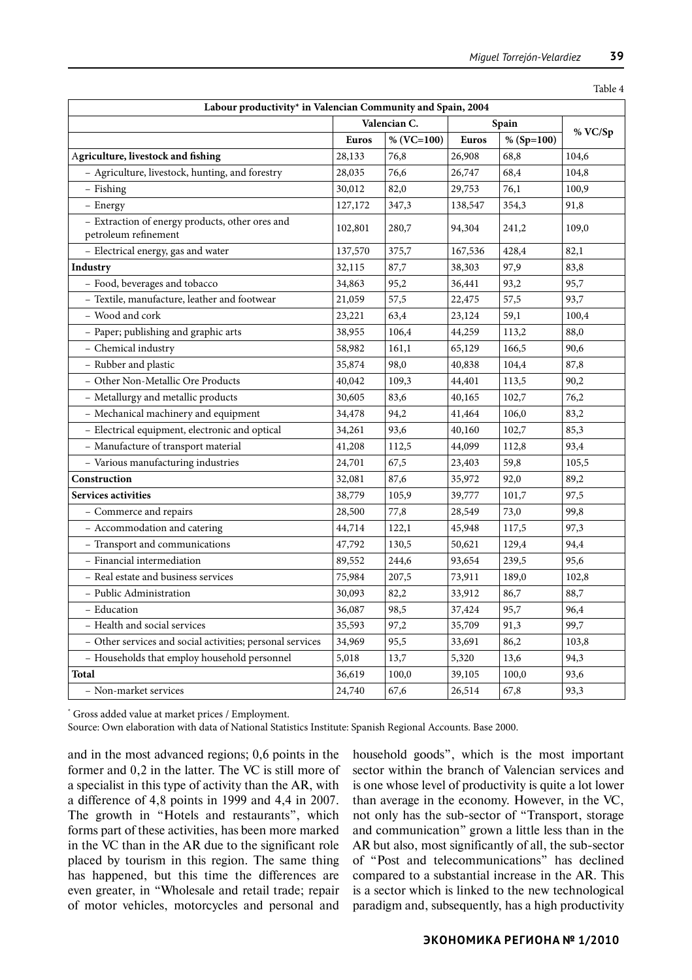| Table 4                                                                 |              |                |              |            |         |  |  |
|-------------------------------------------------------------------------|--------------|----------------|--------------|------------|---------|--|--|
| Labour productivity* in Valencian Community and Spain, 2004             |              |                |              |            |         |  |  |
|                                                                         | Valencian C. |                | Spain        |            |         |  |  |
|                                                                         | <b>Euros</b> | % ( $VC=100$ ) | <b>Euros</b> | % (Sp=100) | % VC/Sp |  |  |
| Agriculture, livestock and fishing                                      | 28,133       | 76,8           | 26,908       | 68,8       | 104,6   |  |  |
| - Agriculture, livestock, hunting, and forestry                         | 28,035       | 76,6           | 26,747       | 68,4       | 104,8   |  |  |
| - Fishing                                                               | 30,012       | 82,0           | 29,753       | 76,1       | 100,9   |  |  |
| - Energy                                                                | 127,172      | 347,3          | 138,547      | 354,3      | 91,8    |  |  |
| - Extraction of energy products, other ores and<br>petroleum refinement | 102,801      | 280,7          | 94,304       | 241,2      | 109,0   |  |  |
| - Electrical energy, gas and water                                      | 137,570      | 375,7          | 167,536      | 428,4      | 82,1    |  |  |
| Industry                                                                | 32,115       | 87,7           | 38,303       | 97,9       | 83,8    |  |  |
| - Food, beverages and tobacco                                           | 34,863       | 95,2           | 36,441       | 93,2       | 95,7    |  |  |
| - Textile, manufacture, leather and footwear                            | 21,059       | 57,5           | 22,475       | 57,5       | 93,7    |  |  |
| - Wood and cork                                                         | 23,221       | 63,4           | 23,124       | 59,1       | 100,4   |  |  |
| - Paper; publishing and graphic arts                                    | 38,955       | 106,4          | 44,259       | 113,2      | 88,0    |  |  |
| - Chemical industry                                                     | 58,982       | 161,1          | 65,129       | 166,5      | 90,6    |  |  |
| - Rubber and plastic                                                    | 35,874       | 98,0           | 40,838       | 104,4      | 87,8    |  |  |
| - Other Non-Metallic Ore Products                                       | 40,042       | 109,3          | 44,401       | 113,5      | 90,2    |  |  |
| - Metallurgy and metallic products                                      | 30,605       | 83,6           | 40,165       | 102,7      | 76,2    |  |  |
| - Mechanical machinery and equipment                                    | 34,478       | 94,2           | 41,464       | 106,0      | 83,2    |  |  |
| - Electrical equipment, electronic and optical                          | 34,261       | 93,6           | 40,160       | 102,7      | 85,3    |  |  |
| - Manufacture of transport material                                     | 41,208       | 112,5          | 44,099       | 112,8      | 93,4    |  |  |
| - Various manufacturing industries                                      | 24,701       | 67,5           | 23,403       | 59,8       | 105,5   |  |  |
| Construction                                                            | 32,081       | 87,6           | 35,972       | 92,0       | 89,2    |  |  |
| <b>Services activities</b>                                              | 38,779       | 105,9          | 39,777       | 101,7      | 97,5    |  |  |
| - Commerce and repairs                                                  | 28,500       | 77,8           | 28,549       | 73,0       | 99,8    |  |  |
| - Accommodation and catering                                            | 44,714       | 122,1          | 45,948       | 117,5      | 97,3    |  |  |
| - Transport and communications                                          | 47,792       | 130,5          | 50,621       | 129,4      | 94,4    |  |  |
| - Financial intermediation                                              | 89,552       | 244,6          | 93,654       | 239,5      | 95,6    |  |  |
| - Real estate and business services                                     | 75,984       | 207,5          | 73,911       | 189,0      | 102,8   |  |  |
| - Public Administration                                                 | 30,093       | 82,2           | 33,912       | 86,7       | 88,7    |  |  |
| - Education                                                             | 36,087       | 98,5           | 37,424       | 95,7       | 96,4    |  |  |
| - Health and social services                                            | 35,593       | 97,2           | 35,709       | 91,3       | 99,7    |  |  |
| - Other services and social activities; personal services               | 34,969       | 95,5           | 33,691       | 86,2       | 103,8   |  |  |
| - Households that employ household personnel                            | 5,018        | 13,7           | 5,320        | 13,6       | 94,3    |  |  |
| Total                                                                   | 36,619       | 100,0          | 39,105       | 100,0      | 93,6    |  |  |
| - Non-market services                                                   | 24,740       | 67,6           | 26,514       | 67,8       | 93,3    |  |  |

\* Gross added value at market prices / Employment.

Source: Own elaboration with data of National Statistics Institute: Spanish Regional Accounts. Base 2000.

and in the most advanced regions; 0,6 points in the former and 0,2 in the latter. The VC is still more of a specialist in this type of activity than the AR, with a difference of 4,8 points in 1999 and 4,4 in 2007. The growth in "Hotels and restaurants", which forms part of these activities, has been more marked in the VC than in the AR due to the significant role placed by tourism in this region. The same thing has happened, but this time the differences are even greater, in "Wholesale and retail trade; repair of motor vehicles, motorcycles and personal and

household goods", which is the most important sector within the branch of Valencian services and is one whose level of productivity is quite a lot lower than average in the economy. However, in the VC, not only has the sub-sector of "Transport, storage and communication" grown a little less than in the AR but also, most significantly of all, the sub-sector of "Post and telecommunications" has declined compared to a substantial increase in the AR. This is a sector which is linked to the new technological paradigm and, subsequently, has a high productivity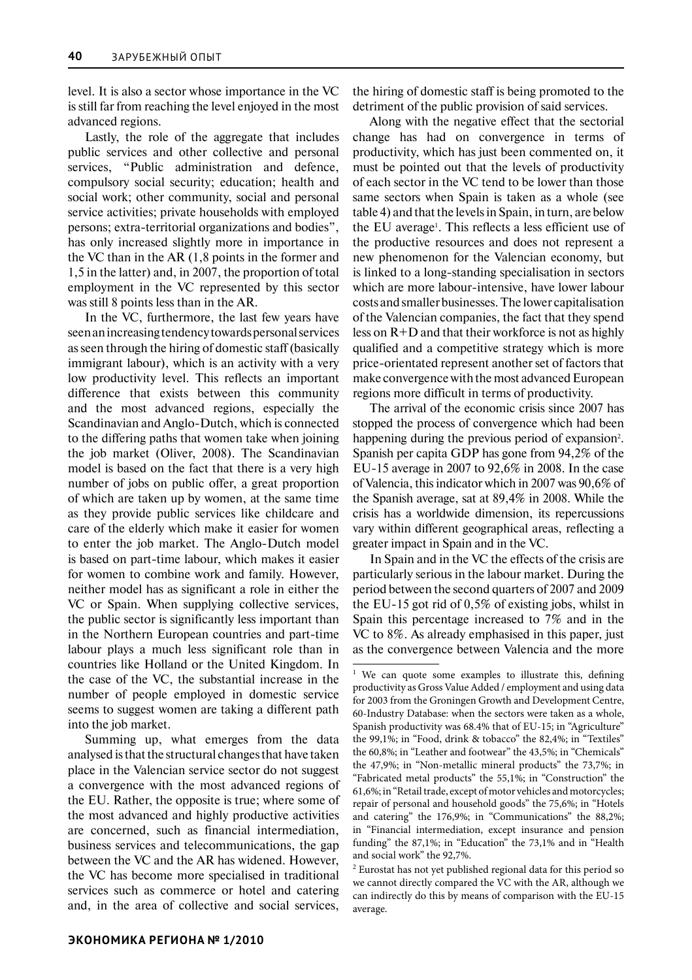level. It is also a sector whose importance in the VC is still far from reaching the level enjoyed in the most advanced regions.

Lastly, the role of the aggregate that includes public services and other collective and personal services, "Public administration and defence, compulsory social security; education; health and social work; other community, social and personal service activities; private households with employed persons; extra-territorial organizations and bodies", has only increased slightly more in importance in the VC than in the AR (1,8 points in the former and 1,5 in the latter) and, in 2007, the proportion of total employment in the VC represented by this sector was still 8 points less than in the AR.

In the VC, furthermore, the last few years have seen an increasing tendency towards personal services as seen through the hiring of domestic staff (basically immigrant labour), which is an activity with a very low productivity level. This reflects an important difference that exists between this community and the most advanced regions, especially the Scandinavian and Anglo-Dutch, which is connected to the differing paths that women take when joining the job market (Oliver, 2008). The Scandinavian model is based on the fact that there is a very high number of jobs on public offer, a great proportion of which are taken up by women, at the same time as they provide public services like childcare and care of the elderly which make it easier for women to enter the job market. The Anglo-Dutch model is based on part-time labour, which makes it easier for women to combine work and family. However, neither model has as significant a role in either the VC or Spain. When supplying collective services, the public sector is significantly less important than in the Northern European countries and part-time labour plays a much less significant role than in countries like Holland or the United Kingdom. In the case of the VC, the substantial increase in the number of people employed in domestic service seems to suggest women are taking a different path into the job market.

Summing up, what emerges from the data analysed is that the structural changes that have taken place in the Valencian service sector do not suggest a convergence with the most advanced regions of the EU. Rather, the opposite is true; where some of the most advanced and highly productive activities are concerned, such as financial intermediation, business services and telecommunications, the gap between the VC and the AR has widened. However, the VC has become more specialised in traditional services such as commerce or hotel and catering and, in the area of collective and social services, the hiring of domestic staff is being promoted to the detriment of the public provision of said services.

Along with the negative effect that the sectorial change has had on convergence in terms of productivity, which has just been commented on, it must be pointed out that the levels of productivity of each sector in the VC tend to be lower than those same sectors when Spain is taken as a whole (see table 4) and that the levels in Spain, in turn, are below the EU average<sup>1</sup> . This reflects a less efficient use of the productive resources and does not represent a new phenomenon for the Valencian economy, but is linked to a long-standing specialisation in sectors which are more labour-intensive, have lower labour costs and smaller businesses. The lower capitalisation of the Valencian companies, the fact that they spend less on  $R+D$  and that their workforce is not as highly qualified and a competitive strategy which is more price-orientated represent another set of factors that make convergence with the most advanced European regions more difficult in terms of productivity.

The arrival of the economic crisis since 2007 has stopped the process of convergence which had been happening during the previous period of expansion<sup>2</sup>. Spanish per capita GDP has gone from 94,2% of the EU-15 average in 2007 to 92,6% in 2008. In the case of Valencia, this indicator which in 2007 was 90,6% of the Spanish average, sat at 89,4% in 2008. While the crisis has a worldwide dimension, its repercussions vary within different geographical areas, reflecting a greater impact in Spain and in the VC.

In Spain and in the VC the effects of the crisis are particularly serious in the labour market. During the period between the second quarters of 2007 and 2009 the EU-15 got rid of 0,5% of existing jobs, whilst in Spain this percentage increased to 7% and in the VC to 8%. As already emphasised in this paper, just as the convergence between Valencia and the more

<sup>&</sup>lt;sup>1</sup> We can quote some examples to illustrate this, defining productivity as Gross Value Added / employment and using data for 2003 from the Groningen Growth and Development Centre, 60-Industry Database: when the sectors were taken as a whole, Spanish productivity was 68.4% that of EU-15; in "Agriculture" the 99,1%; in "Food, drink & tobacco" the 82,4%; in "Textiles" the 60,8%; in "Leather and footwear" the 43,5%; in "Chemicals" the 47,9%; in "Non-metallic mineral products" the 73,7%; in "Fabricated metal products" the 55,1%; in "Construction" the 61,6%; in "Retail trade, except of motor vehicles and motorcycles; repair of personal and household goods" the 75,6%; in "Hotels and catering" the 176,9%; in "Communications" the 88,2%; in "Financial intermediation, except insurance and pension funding" the 87,1%; in "Education" the 73,1% and in "Health and social work" the 92,7%.

<sup>2</sup> Eurostat has not yet published regional data for this period so we cannot directly compared the VC with the AR, although we can indirectly do this by means of comparison with the EU-15 average.